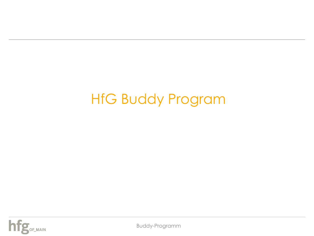# HfG Buddy Program



Buddy-Programm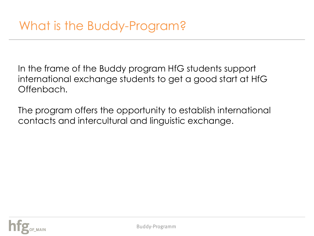In the frame of the Buddy program HfG students support international exchange students to get a good start at HfG Offenbach.

The program offers the opportunity to establish international contacts and intercultural and linguistic exchange.

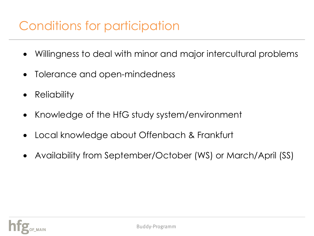### Conditions for participation

- Willingness to deal with minor and major intercultural problems
- Tolerance and open-mindedness
- **Reliability**
- Knowledge of the HfG study system/environment
- Local knowledge about Offenbach & Frankfurt
- Availability from September/October (WS) or March/April (SS)

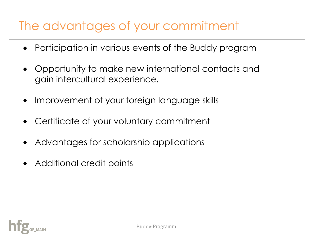### The advantages of your commitment

- Participation in various events of the Buddy program
- Opportunity to make new international contacts and gain intercultural experience.
- Improvement of your foreign language skills
- Certificate of your voluntary commitment
- Advantages for scholarship applications
- Additional credit points

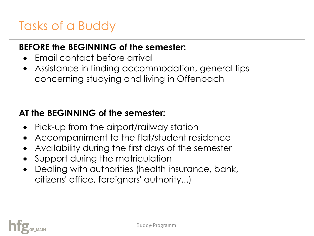## Tasks of a Buddy

#### **BEFORE the BEGINNING of the semester:**

- Email contact before arrival
- Assistance in finding accommodation, general tips concerning studying and living in Offenbach

#### **AT the BEGINNING of the semester:**

- Pick-up from the airport/railway station
- Accompaniment to the flat/student residence
- Availability during the first days of the semester
- Support during the matriculation
- Dealing with authorities (health insurance, bank, citizens' office, foreigners' authority...)

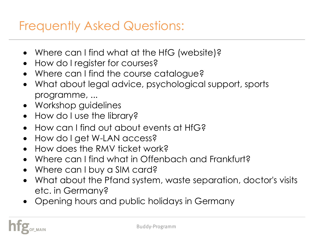#### Frequently Asked Questions:

- Where can I find what at the HfG (website)?
- How do I register for courses?
- Where can I find the course catalogue?
- What about legal advice, psychological support, sports programme, ...
- Workshop guidelines
- How do I use the library?
- How can I find out about events at HfG?
- How do I get W-LAN access?
- How does the RMV ticket work?
- Where can I find what in Offenbach and Frankfurt?
- Where can I buy a SIM card?
- What about the Pfand system, waste separation, doctor's visits etc. in Germany?
- Opening hours and public holidays in Germany